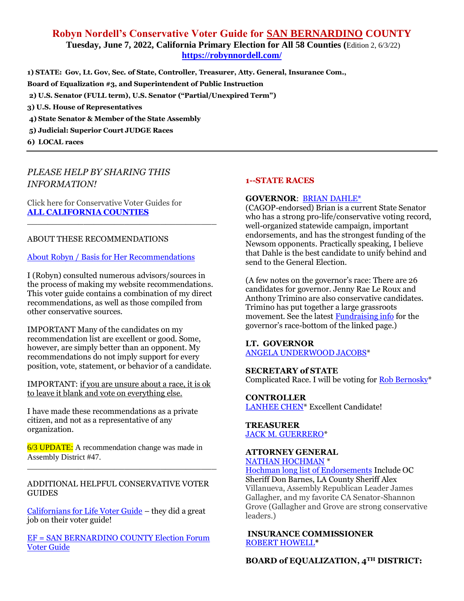# **Robyn Nordell's Conservative Voter Guide for SAN BERNARDINO COUNTY Tuesday, June 7, 2022, California Primary Election for All 58 Counties (**Edition 2, 6/3/22) **<https://robynnordell.com/>**

**1) STATE: Gov, Lt. Gov, Sec. of State, Controller, Treasurer, Atty. General, Insurance Com., Board of Equalization #3, and Superintendent of Public Instruction 2) U.S. Senator (FULL term), U.S. Senator ("Partial/Unexpired Term") 3) U.S. House of Representatives 4) State Senator & Member of the State Assembly 5) Judicial: Superior Court JUDGE Races 6) LOCAL races** 

# *PLEASE HELP BY SHARING THIS INFORMATION!*

Click here for Conservative Voter Guides for **[ALL CALIFORNIA COUNTIES](https://robynnordell.com/counties/)**

## ABOUT THESE RECOMMENDATIONS

#### [About Robyn / Basis for Her Recommendations](https://robynnordell.com/about-robyn/)

I (Robyn) consulted numerous advisors/sources in the process of making my website recommendations. This voter guide contains a combination of my direct recommendations, as well as those compiled from other conservative sources.

\_\_\_\_\_\_\_\_\_\_\_\_\_\_\_\_\_\_\_\_\_\_\_\_\_\_\_\_\_\_\_\_\_\_\_\_\_

IMPORTANT Many of the candidates on my recommendation list are excellent or good. Some, however, are simply better than an opponent. My recommendations do not imply support for every position, vote, statement, or behavior of a candidate.

IMPORTANT: if you are unsure about a race, it is ok to leave it blank and vote on everything else.

I have made these recommendations as a private citizen, and not as a representative of any organization.

6/3 UPDATE: A recommendation change was made in Assembly District #47.

#### ADDITIONAL HELPFUL CONSERVATIVE VOTER GUIDES

\_\_\_\_\_\_\_\_\_\_\_\_\_\_\_\_\_\_\_\_\_\_\_\_\_\_\_\_\_\_\_\_\_\_\_\_\_

[Californians for Life Voter Guide](https://californiansforlife.org/pro-life-voter-information/) – they did a great job on their voter guide!

EF = SAN BERNARDINO [COUNTY Election Forum](https://www.electionforum.org/san-bernardino-county/)  [Voter Guide](https://www.electionforum.org/san-bernardino-county/)

#### **1--STATE RACES**

#### **GOVERNOR**: [BRIAN DAHLE\\*](https://briandahle.com/about-brian/)

(CAGOP-endorsed) Brian is a current State Senator who has a strong pro-life/conservative voting record, well-organized statewide campaign, important endorsements, and has the strongest funding of the Newsom opponents. Practically speaking, I believe that Dahle is the best candidate to unify behind and send to the General Election.

(A few notes on the governor's race: There are 26 candidates for governor. Jenny Rae Le Roux and Anthony Trimino are also conservative candidates. Trimino has put together a large grassroots movement. See the latest [Fundraising info](https://calmatters.org/california-voter-guide-2022/governor/) for the governor's race-bottom of the linked page.)

#### **LT. GOVERNOR** [ANGELA UNDERWOOD JACOBS\\*](https://www.angelaforcalifornia.com/about)

#### **SECRETARY of STATE**

Complicated Race. I will be voting for [Rob Bernosky\\*](http://www.votebernosky.com/)

**CONTROLLER** [LANHEE CHEN\\*](https://chenforcalifornia.com/endorsements/) Excellent Candidate!

#### **TREASURER** [JACK M. GUERRERO\\*](https://www.jack4treasurer.com/)

# **ATTORNEY GENERAL**

[NATHAN HOCHMAN](https://www.nathanhochman.com/) \*

[Hochman long list of Endorsements](https://www.nathanhochman.com/endorsements/) Include OC Sheriff Don Barnes, LA County Sheriff Alex Villanueva, Assembly Republican Leader James Gallagher, and my favorite CA Senator-Shannon Grove (Gallagher and Grove are strong conservative leaders.)

#### **INSURANCE COMMISSIONER** [ROBERT HOWELL](https://electroberthowell.com/meet-robert/)**\***

**BOARD of EQUALIZATION, 4TH DISTRICT:**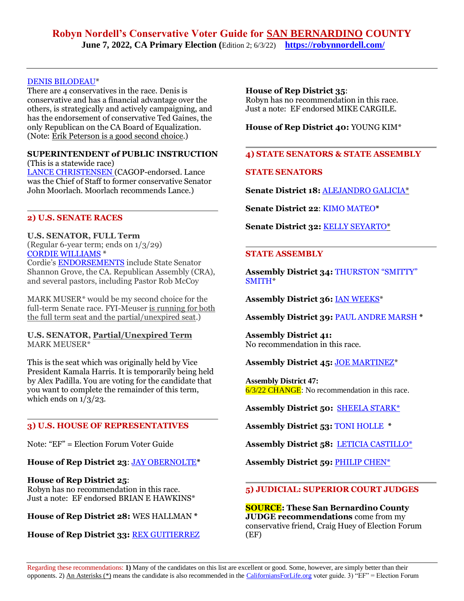# **Robyn Nordell's Conservative Voter Guide for SAN BERNARDINO COUNTY June 7, 2022, CA Primary Election (**Edition 2; 6/3/22) **<https://robynnordell.com/>**

#### [DENIS BILODEAU\\*](https://denisbilodeau.com/endorsements)

There are 4 conservatives in the race. Denis is conservative and has a financial advantage over the others, is strategically and actively campaigning, and has the endorsement of conservative Ted Gaines, the only Republican on the CA Board of Equalization. (Note: Erik Peterson is a good second choice.)

#### **SUPERINTENDENT of PUBLIC INSTRUCTION**  (This is a statewide race)

[LANCE CHRISTENSEN](https://lancechristensen.com/endorsements) (CAGOP-endorsed. Lance was the Chief of Staff to former conservative Senator John Moorlach. Moorlach recommends Lance.)

## **2) U.S. SENATE RACES**

#### **U.S. SENATOR, FULL Term**

(Regular 6-year term; ends on 1/3/29) [CORDIE WILLIAMS](https://www.cordie4senate.com/) \* Cordie's [ENDORSEMENTS](https://www.cordie4senate.com/endorsements/) include State Senator Shannon Grove, the CA. Republican Assembly (CRA), and several pastors, including Pastor Rob McCoy

MARK MUSER\* would be my second choice for the full-term Senate race. FYI-Meuser is running for both the full term seat and the partial/unexpired seat.)

#### **U.S. SENATOR, Partial/Unexpired Term** MARK MEUSER\*

This is the seat which was originally held by Vice President Kamala Harris. It is temporarily being held by Alex Padilla. You are voting for the candidate that you want to complete the remainder of this term, which ends on  $1/3/23$ .

# **3) U.S. HOUSE OF REPRESENTATIVES**

Note: "EF" = Election Forum Voter Guide

#### **House of Rep District 23**: JAY [OBERNOLTE](http://electjay.com/#!/up)**\***

#### **House of Rep District 25**: Robyn has no recommendation in this race. Just a note: EF endorsed BRIAN E HAWKINS\*

**House of Rep District 28:** WES HALLMAN **\***

# **House of Rep District 33:** [REX GUITIERREZ](https://rexforcongress.com/)

## **House of Rep District 35**:

Robyn has no recommendation in this race. Just a note: EF endorsed MIKE CARGILE.

**House of Rep District 40:** YOUNG KIM\*

#### **4) STATE SENATORS & STATE ASSEMBLY**

#### **STATE SENATORS**

**Senate District 18:** [ALEJANDRO](https://votersedge.org/en/ca/ballot/election/2022-06-07/california-state-senate-district-18/alejandro-galicia) GALICIA\*

**Senate District 22**: KIMO [MATEO](https://www.mateo4senator.com/platform)**\***

**Senate District 32:** KELLY [SEYARTO\\*](https://seyartoforsenate.com/)

#### **STATE ASSEMBLY**

**Assembly District 34:** [THURSTON](http://joinsmitty.com/) "SMITTY" [SMITH\\*](http://joinsmitty.com/)

**Assembly District 36:** IAN [WEEKS\\*](https://ianweeksforassembly.com/)

**Assembly District 39:** PAUL ANDRE [MARSH](https://www.paulmarshforassembly.com/meet-paul) **\***

**Assembly District 41:** No recommendation in this race.

#### **Assembly District 45:** [JOE MARTINEZ\\*](https://www.joemartinezassy.org/)

**Assembly District 47:** 6/3/22 CHANGE: No recommendation in this race.

**Assembly District 50:** [SHEELA](https://www.starkforassembly.com/) STARK\*

**Assembly District 53:** TONI [HOLLE](https://www.facebook.com/Holle4Assembly) **\***

**Assembly District 58:** LETICIA [CASTILLO\\*](https://www.leticiacastilloforassembly.com/)

**Assembly District 59:** [PHILIP](https://ad55.asmrc.org/biography) CHEN\*

## **5) JUDICIAL: SUPERIOR COURT JUDGES**

**SOURCE: These San Bernardino County JUDGE recommendations** come from my conservative friend, Craig Huey of Election Forum (EF)